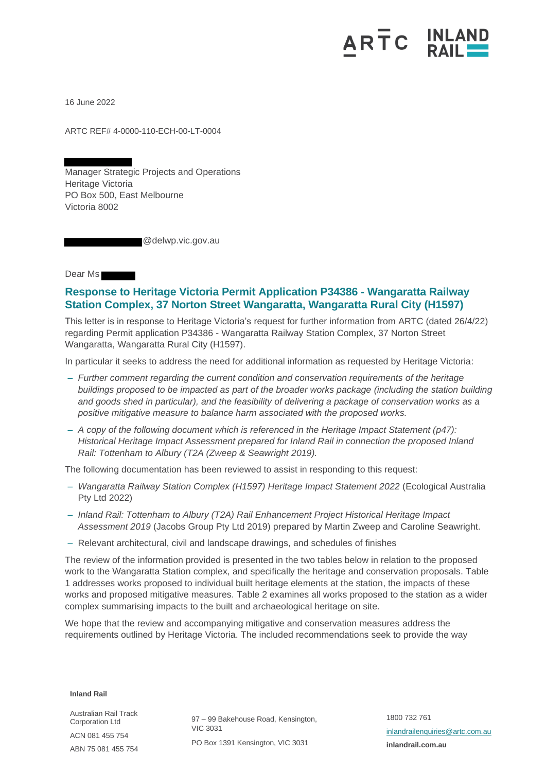## ARTC INLAND

16 June 2022

ARTC REF# 4-0000-110-ECH-00-LT-0004

Manager Strategic Projects and Operations Heritage Victoria PO Box 500, East Melbourne Victoria 8002

@delwp.vic.gov.au

Dear Ms

## **Response to Heritage Victoria Permit Application P34386 - Wangaratta Railway Station Complex, 37 Norton Street Wangaratta, Wangaratta Rural City (H1597)**

This letter is in response to Heritage Victoria's request for further information from ARTC (dated 26/4/22) regarding Permit application P34386 - Wangaratta Railway Station Complex, 37 Norton Street Wangaratta, Wangaratta Rural City (H1597).

In particular it seeks to address the need for additional information as requested by Heritage Victoria:

- *Further comment regarding the current condition and conservation requirements of the heritage buildings proposed to be impacted as part of the broader works package (including the station building and goods shed in particular), and the feasibility of delivering a package of conservation works as a positive mitigative measure to balance harm associated with the proposed works.*
- *A copy of the following document which is referenced in the Heritage Impact Statement (p47): Historical Heritage Impact Assessment prepared for Inland Rail in connection the proposed Inland Rail: Tottenham to Albury (T2A (Zweep & Seawright 2019).*

The following documentation has been reviewed to assist in responding to this request:

- *Wangaratta Railway Station Complex (H1597) Heritage Impact Statement 2022* (Ecological Australia Pty Ltd 2022)
- *Inland Rail: Tottenham to Albury (T2A) Rail Enhancement Project Historical Heritage Impact Assessment 2019* (Jacobs Group Pty Ltd 2019) prepared by Martin Zweep and Caroline Seawright.
- Relevant architectural, civil and landscape drawings, and schedules of finishes

The review of the information provided is presented in the two tables below in relation to the proposed work to the Wangaratta Station complex, and specifically the heritage and conservation proposals. Table 1 addresses works proposed to individual built heritage elements at the station, the impacts of these works and proposed mitigative measures. Table 2 examines all works proposed to the station as a wider complex summarising impacts to the built and archaeological heritage on site.

We hope that the review and accompanying mitigative and conservation measures address the requirements outlined by Heritage Victoria. The included recommendations seek to provide the way

**Inland Rail**

Australian Rail Track Corporation Ltd ACN 081 455 754 ABN 75 081 455 754

97 – 99 Bakehouse Road, Kensington, VIC 3031 PO Box 1391 Kensington, VIC 3031

1800 732 761 [inlandrailenquiries@artc.com.au](mailto:inlandrailenquiries@artc.com.au) **inlandrail.com.au**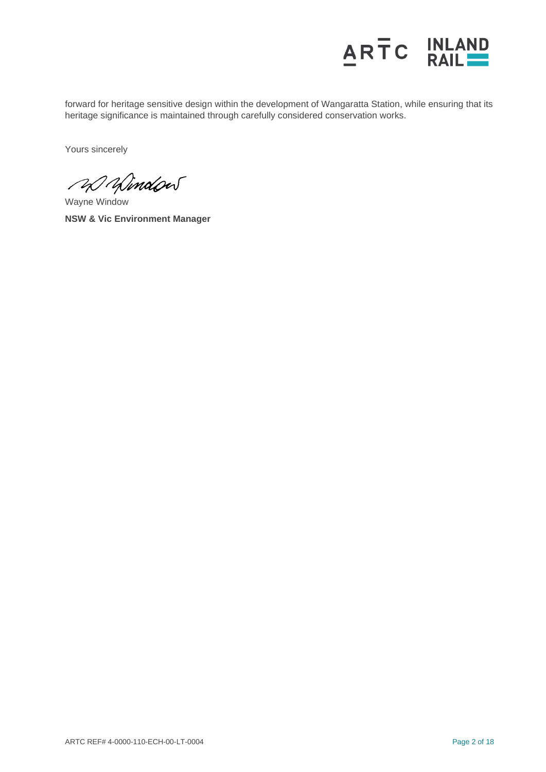

forward for heritage sensitive design within the development of Wangaratta Station, while ensuring that its heritage significance is maintained through carefully considered conservation works.

Yours sincerely

20 Window

Wayne Window **NSW & Vic Environment Manager**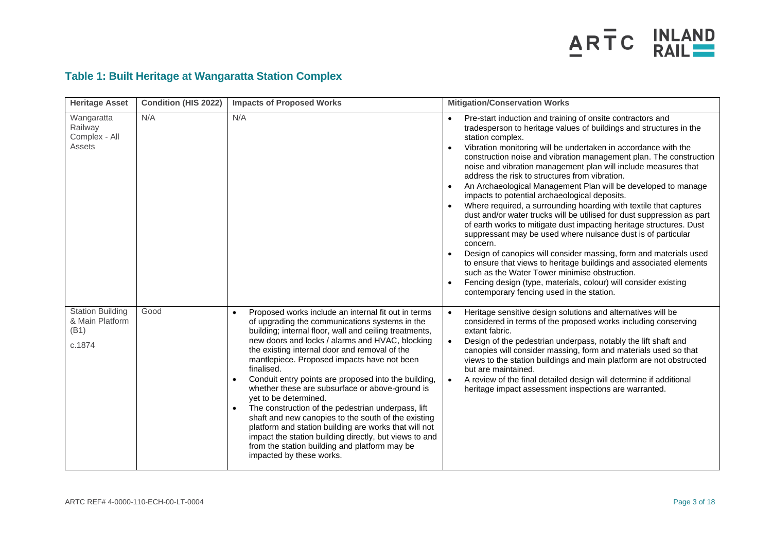

## **Table 1: Built Heritage at Wangaratta Station Complex**

| <b>Heritage Asset</b>                                        | <b>Condition (HIS 2022)</b> | <b>Impacts of Proposed Works</b>                                                                                                                                                                                                                                                                                                                                                                                                                                                                                                                                                                                                                                                                                                                                                               | <b>Mitigation/Conservation Works</b>                                                                                                                                                                                                                                                                                                                                                                                                                                                                                                                                                                                                                                                                                                                                                                                                                                                                                                                                                                                                                                                                                                                          |
|--------------------------------------------------------------|-----------------------------|------------------------------------------------------------------------------------------------------------------------------------------------------------------------------------------------------------------------------------------------------------------------------------------------------------------------------------------------------------------------------------------------------------------------------------------------------------------------------------------------------------------------------------------------------------------------------------------------------------------------------------------------------------------------------------------------------------------------------------------------------------------------------------------------|---------------------------------------------------------------------------------------------------------------------------------------------------------------------------------------------------------------------------------------------------------------------------------------------------------------------------------------------------------------------------------------------------------------------------------------------------------------------------------------------------------------------------------------------------------------------------------------------------------------------------------------------------------------------------------------------------------------------------------------------------------------------------------------------------------------------------------------------------------------------------------------------------------------------------------------------------------------------------------------------------------------------------------------------------------------------------------------------------------------------------------------------------------------|
| Wangaratta<br>Railway<br>Complex - All<br>Assets             | N/A                         | N/A                                                                                                                                                                                                                                                                                                                                                                                                                                                                                                                                                                                                                                                                                                                                                                                            | Pre-start induction and training of onsite contractors and<br>tradesperson to heritage values of buildings and structures in the<br>station complex.<br>Vibration monitoring will be undertaken in accordance with the<br>construction noise and vibration management plan. The construction<br>noise and vibration management plan will include measures that<br>address the risk to structures from vibration.<br>An Archaeological Management Plan will be developed to manage<br>impacts to potential archaeological deposits.<br>Where required, a surrounding hoarding with textile that captures<br>dust and/or water trucks will be utilised for dust suppression as part<br>of earth works to mitigate dust impacting heritage structures. Dust<br>suppressant may be used where nuisance dust is of particular<br>concern.<br>Design of canopies will consider massing, form and materials used<br>$\bullet$<br>to ensure that views to heritage buildings and associated elements<br>such as the Water Tower minimise obstruction.<br>Fencing design (type, materials, colour) will consider existing<br>contemporary fencing used in the station. |
| <b>Station Building</b><br>& Main Platform<br>(B1)<br>c.1874 | Good                        | Proposed works include an internal fit out in terms<br>of upgrading the communications systems in the<br>building; internal floor, wall and ceiling treatments,<br>new doors and locks / alarms and HVAC, blocking<br>the existing internal door and removal of the<br>mantlepiece. Proposed impacts have not been<br>finalised.<br>Conduit entry points are proposed into the building,<br>whether these are subsurface or above-ground is<br>yet to be determined.<br>The construction of the pedestrian underpass, lift<br>$\bullet$<br>shaft and new canopies to the south of the existing<br>platform and station building are works that will not<br>impact the station building directly, but views to and<br>from the station building and platform may be<br>impacted by these works. | Heritage sensitive design solutions and alternatives will be<br>$\bullet$<br>considered in terms of the proposed works including conserving<br>extant fabric.<br>Design of the pedestrian underpass, notably the lift shaft and<br>$\bullet$<br>canopies will consider massing, form and materials used so that<br>views to the station buildings and main platform are not obstructed<br>but are maintained.<br>A review of the final detailed design will determine if additional<br>$\bullet$<br>heritage impact assessment inspections are warranted.                                                                                                                                                                                                                                                                                                                                                                                                                                                                                                                                                                                                     |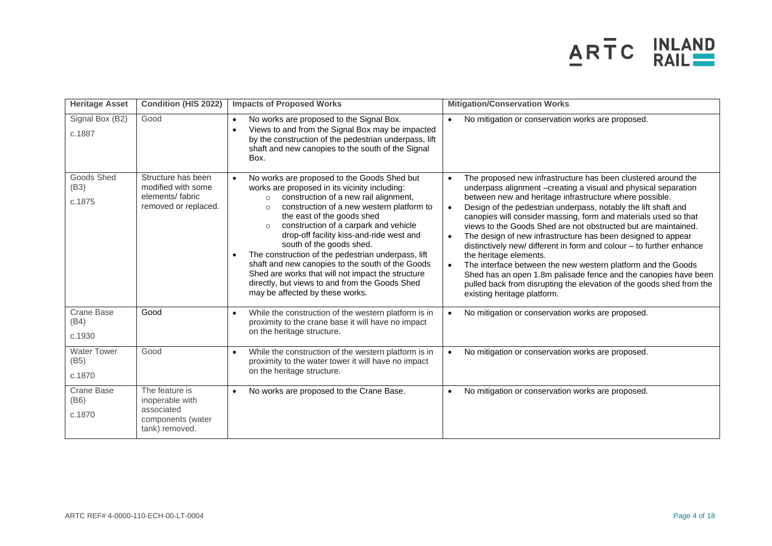

| <b>Heritage Asset</b>                | <b>Condition (HIS 2022)</b>                                                            | <b>Impacts of Proposed Works</b>                                                                                                                                                                                                                                                                                                                                                                                                                                                                                                                                                                                                    | <b>Mitigation/Conservation Works</b>                                                                                                                                                                                                                                                                                                                                                                                                                                                                                                                                                                                                                                                                                                                                                                                                                              |
|--------------------------------------|----------------------------------------------------------------------------------------|-------------------------------------------------------------------------------------------------------------------------------------------------------------------------------------------------------------------------------------------------------------------------------------------------------------------------------------------------------------------------------------------------------------------------------------------------------------------------------------------------------------------------------------------------------------------------------------------------------------------------------------|-------------------------------------------------------------------------------------------------------------------------------------------------------------------------------------------------------------------------------------------------------------------------------------------------------------------------------------------------------------------------------------------------------------------------------------------------------------------------------------------------------------------------------------------------------------------------------------------------------------------------------------------------------------------------------------------------------------------------------------------------------------------------------------------------------------------------------------------------------------------|
| Signal Box (B2)<br>c.1887            | Good                                                                                   | No works are proposed to the Signal Box.<br>$\bullet$<br>Views to and from the Signal Box may be impacted<br>$\bullet$<br>by the construction of the pedestrian underpass, lift<br>shaft and new canopies to the south of the Signal<br>Box.                                                                                                                                                                                                                                                                                                                                                                                        | No mitigation or conservation works are proposed.                                                                                                                                                                                                                                                                                                                                                                                                                                                                                                                                                                                                                                                                                                                                                                                                                 |
| Goods Shed<br>(B3)<br>c.1875         | Structure has been<br>modified with some<br>elements/fabric<br>removed or replaced.    | No works are proposed to the Goods Shed but<br>works are proposed in its vicinity including:<br>construction of a new rail alignment,<br>$\circ$<br>construction of a new western platform to<br>$\circ$<br>the east of the goods shed<br>construction of a carpark and vehicle<br>$\circ$<br>drop-off facility kiss-and-ride west and<br>south of the goods shed.<br>The construction of the pedestrian underpass, lift<br>$\bullet$<br>shaft and new canopies to the south of the Goods<br>Shed are works that will not impact the structure<br>directly, but views to and from the Goods Shed<br>may be affected by these works. | The proposed new infrastructure has been clustered around the<br>$\bullet$<br>underpass alignment -creating a visual and physical separation<br>between new and heritage infrastructure where possible.<br>Design of the pedestrian underpass, notably the lift shaft and<br>$\bullet$<br>canopies will consider massing, form and materials used so that<br>views to the Goods Shed are not obstructed but are maintained.<br>The design of new infrastructure has been designed to appear<br>$\bullet$<br>distinctively new/ different in form and colour - to further enhance<br>the heritage elements.<br>The interface between the new western platform and the Goods<br>$\bullet$<br>Shed has an open 1.8m palisade fence and the canopies have been<br>pulled back from disrupting the elevation of the goods shed from the<br>existing heritage platform. |
| <b>Crane Base</b><br>(B4)<br>c.1930  | Good                                                                                   | While the construction of the western platform is in<br>$\bullet$<br>proximity to the crane base it will have no impact<br>on the heritage structure.                                                                                                                                                                                                                                                                                                                                                                                                                                                                               | No mitigation or conservation works are proposed.<br>$\bullet$                                                                                                                                                                                                                                                                                                                                                                                                                                                                                                                                                                                                                                                                                                                                                                                                    |
| <b>Water Tower</b><br>(B5)<br>c.1870 | Good                                                                                   | While the construction of the western platform is in<br>proximity to the water tower it will have no impact<br>on the heritage structure.                                                                                                                                                                                                                                                                                                                                                                                                                                                                                           | No mitigation or conservation works are proposed.<br>$\bullet$                                                                                                                                                                                                                                                                                                                                                                                                                                                                                                                                                                                                                                                                                                                                                                                                    |
| Crane Base<br>(B6)<br>c.1870         | The feature is<br>inoperable with<br>associated<br>components (water<br>tank) removed. | No works are proposed to the Crane Base.<br>$\bullet$                                                                                                                                                                                                                                                                                                                                                                                                                                                                                                                                                                               | No mitigation or conservation works are proposed.<br>$\bullet$                                                                                                                                                                                                                                                                                                                                                                                                                                                                                                                                                                                                                                                                                                                                                                                                    |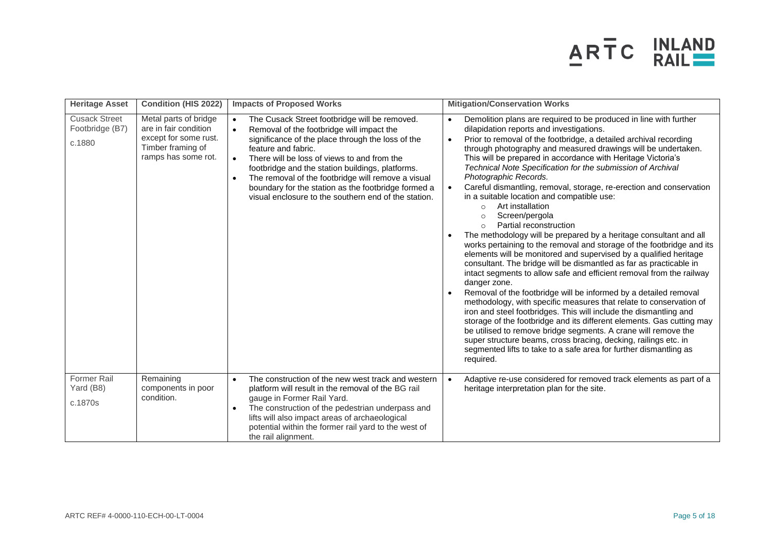

| <b>Heritage Asset</b>                             | <b>Condition (HIS 2022)</b>                                                                                         | <b>Impacts of Proposed Works</b>                                                                                                                                                                                                                                                                                                                                                                                                                                                      | <b>Mitigation/Conservation Works</b>                                                                                                                                                                                                                                                                                                                                                                                                                                                                                                                                                                                                                                                                                                                                                                                                                                                                                                                                                                                                                                                                                                                                                                                                                                                                                                                                                                                                                                                                                                                         |
|---------------------------------------------------|---------------------------------------------------------------------------------------------------------------------|---------------------------------------------------------------------------------------------------------------------------------------------------------------------------------------------------------------------------------------------------------------------------------------------------------------------------------------------------------------------------------------------------------------------------------------------------------------------------------------|--------------------------------------------------------------------------------------------------------------------------------------------------------------------------------------------------------------------------------------------------------------------------------------------------------------------------------------------------------------------------------------------------------------------------------------------------------------------------------------------------------------------------------------------------------------------------------------------------------------------------------------------------------------------------------------------------------------------------------------------------------------------------------------------------------------------------------------------------------------------------------------------------------------------------------------------------------------------------------------------------------------------------------------------------------------------------------------------------------------------------------------------------------------------------------------------------------------------------------------------------------------------------------------------------------------------------------------------------------------------------------------------------------------------------------------------------------------------------------------------------------------------------------------------------------------|
| <b>Cusack Street</b><br>Footbridge (B7)<br>c.1880 | Metal parts of bridge<br>are in fair condition<br>except for some rust.<br>Timber framing of<br>ramps has some rot. | The Cusack Street footbridge will be removed.<br>$\bullet$<br>Removal of the footbridge will impact the<br>$\bullet$<br>significance of the place through the loss of the<br>feature and fabric.<br>There will be loss of views to and from the<br>$\bullet$<br>footbridge and the station buildings, platforms.<br>The removal of the footbridge will remove a visual<br>boundary for the station as the footbridge formed a<br>visual enclosure to the southern end of the station. | Demolition plans are required to be produced in line with further<br>dilapidation reports and investigations.<br>Prior to removal of the footbridge, a detailed archival recording<br>$\bullet$<br>through photography and measured drawings will be undertaken.<br>This will be prepared in accordance with Heritage Victoria's<br>Technical Note Specification for the submission of Archival<br>Photographic Records.<br>Careful dismantling, removal, storage, re-erection and conservation<br>$\bullet$<br>in a suitable location and compatible use:<br>Art installation<br>$\circ$<br>Screen/pergola<br>$\circ$<br>Partial reconstruction<br>$\Omega$<br>The methodology will be prepared by a heritage consultant and all<br>works pertaining to the removal and storage of the footbridge and its<br>elements will be monitored and supervised by a qualified heritage<br>consultant. The bridge will be dismantled as far as practicable in<br>intact segments to allow safe and efficient removal from the railway<br>danger zone.<br>Removal of the footbridge will be informed by a detailed removal<br>methodology, with specific measures that relate to conservation of<br>iron and steel footbridges. This will include the dismantling and<br>storage of the footbridge and its different elements. Gas cutting may<br>be utilised to remove bridge segments. A crane will remove the<br>super structure beams, cross bracing, decking, railings etc. in<br>segmented lifts to take to a safe area for further dismantling as<br>required. |
| <b>Former Rail</b><br>Yard (B8)<br>c.1870s        | Remaining<br>components in poor<br>condition.                                                                       | The construction of the new west track and western<br>$\bullet$<br>platform will result in the removal of the BG rail<br>gauge in Former Rail Yard.<br>The construction of the pedestrian underpass and<br>$\bullet$<br>lifts will also impact areas of archaeological<br>potential within the former rail yard to the west of<br>the rail alignment.                                                                                                                                 | Adaptive re-use considered for removed track elements as part of a<br>heritage interpretation plan for the site.                                                                                                                                                                                                                                                                                                                                                                                                                                                                                                                                                                                                                                                                                                                                                                                                                                                                                                                                                                                                                                                                                                                                                                                                                                                                                                                                                                                                                                             |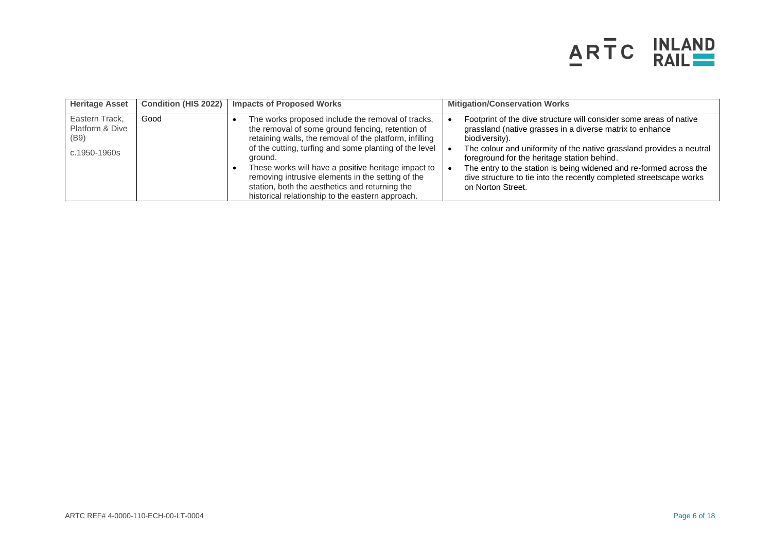

| <b>Heritage Asset</b>                                     | <b>Condition (HIS 2022)</b> | <b>Impacts of Proposed Works</b>                                                                                                                                                                                                                                                                                                                                                                                                                        | <b>Mitigation/Conservation Works</b>                                                                                                                                                                                                                                                                                                                                                                                                      |
|-----------------------------------------------------------|-----------------------------|---------------------------------------------------------------------------------------------------------------------------------------------------------------------------------------------------------------------------------------------------------------------------------------------------------------------------------------------------------------------------------------------------------------------------------------------------------|-------------------------------------------------------------------------------------------------------------------------------------------------------------------------------------------------------------------------------------------------------------------------------------------------------------------------------------------------------------------------------------------------------------------------------------------|
| Eastern Track.<br>Platform & Dive<br>(B9)<br>c.1950-1960s | Good                        | The works proposed include the removal of tracks,<br>the removal of some ground fencing, retention of<br>retaining walls, the removal of the platform, infilling<br>of the cutting, turfing and some planting of the level<br>ground.<br>These works will have a positive heritage impact to<br>removing intrusive elements in the setting of the<br>station, both the aesthetics and returning the<br>historical relationship to the eastern approach. | Footprint of the dive structure will consider some areas of native<br>grassland (native grasses in a diverse matrix to enhance<br>biodiversity).<br>The colour and uniformity of the native grassland provides a neutral<br>foreground for the heritage station behind.<br>The entry to the station is being widened and re-formed across the<br>dive structure to tie into the recently completed streetscape works<br>on Norton Street. |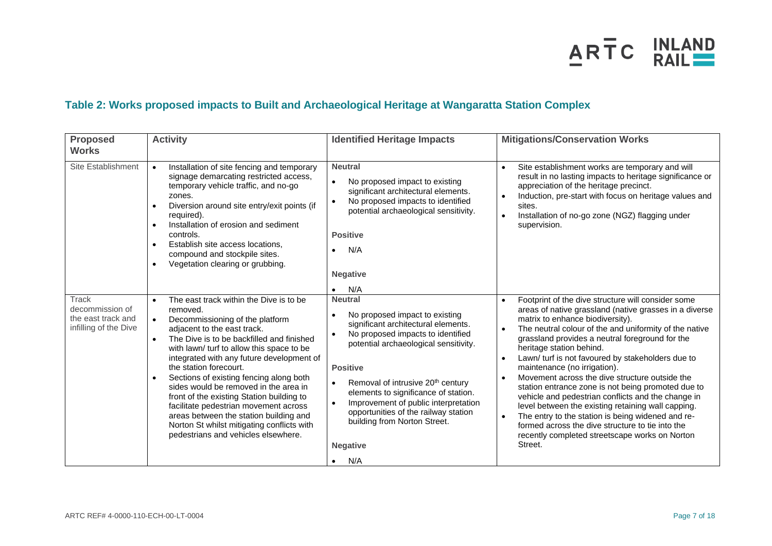

## **Table 2: Works proposed impacts to Built and Archaeological Heritage at Wangaratta Station Complex**

| <b>Proposed</b><br><b>Works</b>                                         | <b>Activity</b>                                                                                                                                                                                                                                                                                                                                                                                                                                                                                                                                                                                                                                     | <b>Identified Heritage Impacts</b>                                                                                                                                                                                                                                                                                                                                                                                                                    | <b>Mitigations/Conservation Works</b>                                                                                                                                                                                                                                                                                                                                                                                                                                                                                                                                                                                                                                                                                                                                                                                                     |
|-------------------------------------------------------------------------|-----------------------------------------------------------------------------------------------------------------------------------------------------------------------------------------------------------------------------------------------------------------------------------------------------------------------------------------------------------------------------------------------------------------------------------------------------------------------------------------------------------------------------------------------------------------------------------------------------------------------------------------------------|-------------------------------------------------------------------------------------------------------------------------------------------------------------------------------------------------------------------------------------------------------------------------------------------------------------------------------------------------------------------------------------------------------------------------------------------------------|-------------------------------------------------------------------------------------------------------------------------------------------------------------------------------------------------------------------------------------------------------------------------------------------------------------------------------------------------------------------------------------------------------------------------------------------------------------------------------------------------------------------------------------------------------------------------------------------------------------------------------------------------------------------------------------------------------------------------------------------------------------------------------------------------------------------------------------------|
| Site Establishment                                                      | Installation of site fencing and temporary<br>$\bullet$<br>signage demarcating restricted access,<br>temporary vehicle traffic, and no-go<br>zones.<br>Diversion around site entry/exit points (if<br>required).<br>Installation of erosion and sediment<br>$\bullet$<br>controls.<br>Establish site access locations,<br>$\bullet$<br>compound and stockpile sites.<br>Vegetation clearing or grubbing.<br>$\bullet$                                                                                                                                                                                                                               | <b>Neutral</b><br>No proposed impact to existing<br>significant architectural elements.<br>No proposed impacts to identified<br>potential archaeological sensitivity.<br><b>Positive</b><br>N/A<br><b>Negative</b><br>N/A                                                                                                                                                                                                                             | Site establishment works are temporary and will<br>$\bullet$<br>result in no lasting impacts to heritage significance or<br>appreciation of the heritage precinct.<br>Induction, pre-start with focus on heritage values and<br>$\bullet$<br>sites.<br>Installation of no-go zone (NGZ) flagging under<br>$\bullet$<br>supervision.                                                                                                                                                                                                                                                                                                                                                                                                                                                                                                       |
| Track<br>decommission of<br>the east track and<br>infilling of the Dive | The east track within the Dive is to be<br>$\bullet$<br>removed.<br>Decommissioning of the platform<br>$\bullet$<br>adjacent to the east track.<br>The Dive is to be backfilled and finished<br>$\bullet$<br>with lawn/ turf to allow this space to be<br>integrated with any future development of<br>the station forecourt.<br>Sections of existing fencing along both<br>$\bullet$<br>sides would be removed in the area in<br>front of the existing Station building to<br>facilitate pedestrian movement across<br>areas between the station building and<br>Norton St whilst mitigating conflicts with<br>pedestrians and vehicles elsewhere. | <b>Neutral</b><br>No proposed impact to existing<br>significant architectural elements.<br>No proposed impacts to identified<br>potential archaeological sensitivity.<br><b>Positive</b><br>Removal of intrusive 20 <sup>th</sup> century<br>$\bullet$<br>elements to significance of station.<br>Improvement of public interpretation<br>$\bullet$<br>opportunities of the railway station<br>building from Norton Street.<br><b>Negative</b><br>N/A | Footprint of the dive structure will consider some<br>$\bullet$<br>areas of native grassland (native grasses in a diverse<br>matrix to enhance biodiversity).<br>The neutral colour of the and uniformity of the native<br>$\bullet$<br>grassland provides a neutral foreground for the<br>heritage station behind.<br>Lawn/ turf is not favoured by stakeholders due to<br>$\bullet$<br>maintenance (no irrigation).<br>Movement across the dive structure outside the<br>$\bullet$<br>station entrance zone is not being promoted due to<br>vehicle and pedestrian conflicts and the change in<br>level between the existing retaining wall capping.<br>The entry to the station is being widened and re-<br>$\bullet$<br>formed across the dive structure to tie into the<br>recently completed streetscape works on Norton<br>Street. |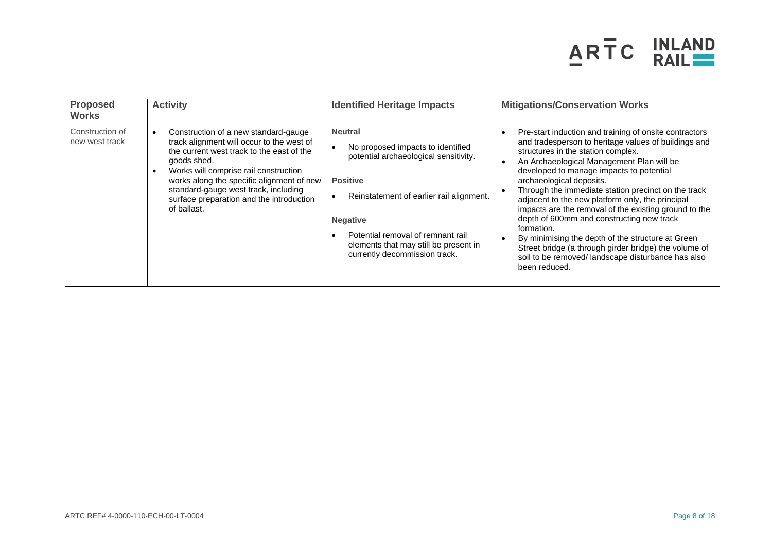

| <b>Proposed</b><br><b>Works</b>   | <b>Activity</b>                                                                                                                                                                                                                                                                                                                        | <b>Identified Heritage Impacts</b>                                                                                                                                                                                                                                                                 | <b>Mitigations/Conservation Works</b>                                                                                                                                                                                                                                                                                                                                                                                                                                                                                                                                                                                                                                                         |
|-----------------------------------|----------------------------------------------------------------------------------------------------------------------------------------------------------------------------------------------------------------------------------------------------------------------------------------------------------------------------------------|----------------------------------------------------------------------------------------------------------------------------------------------------------------------------------------------------------------------------------------------------------------------------------------------------|-----------------------------------------------------------------------------------------------------------------------------------------------------------------------------------------------------------------------------------------------------------------------------------------------------------------------------------------------------------------------------------------------------------------------------------------------------------------------------------------------------------------------------------------------------------------------------------------------------------------------------------------------------------------------------------------------|
| Construction of<br>new west track | Construction of a new standard-gauge<br>track alignment will occur to the west of<br>the current west track to the east of the<br>goods shed.<br>Works will comprise rail construction<br>works along the specific alignment of new<br>standard-gauge west track, including<br>surface preparation and the introduction<br>of ballast. | <b>Neutral</b><br>No proposed impacts to identified<br>٠<br>potential archaeological sensitivity.<br><b>Positive</b><br>Reinstatement of earlier rail alignment.<br><b>Negative</b><br>Potential removal of remnant rail<br>elements that may still be present in<br>currently decommission track. | Pre-start induction and training of onsite contractors<br>and tradesperson to heritage values of buildings and<br>structures in the station complex.<br>An Archaeological Management Plan will be<br>developed to manage impacts to potential<br>archaeological deposits.<br>Through the immediate station precinct on the track<br>adjacent to the new platform only, the principal<br>impacts are the removal of the existing ground to the<br>depth of 600mm and constructing new track<br>formation.<br>By minimising the depth of the structure at Green<br>Street bridge (a through girder bridge) the volume of<br>soil to be removed/ landscape disturbance has also<br>been reduced. |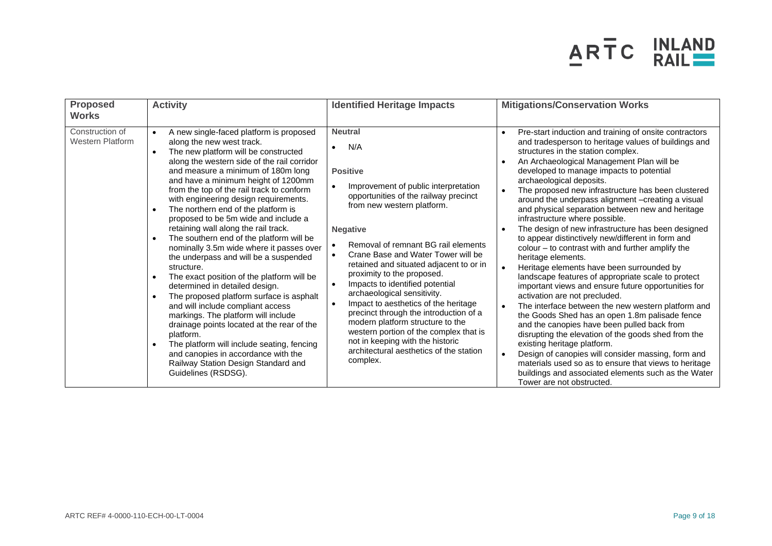

| <b>Proposed</b><br><b>Works</b>            | <b>Activity</b>                                                                                                                                                                                                                                                                                                                                                                                                                                                                                                                                                                                                                                                                                                                                                                                                                                                                                                                                                                                                                                                                                          | <b>Identified Heritage Impacts</b>                                                                                                                                                                                                                                                                                                                                                                                                                                                                                                                                                                                                                            | <b>Mitigations/Conservation Works</b>                                                                                                                                                                                                                                                                                                                                                                                                                                                                                                                                                                                                                                                                                                                                                                                                                                                                                                                                                                                                                                                                                                                                                                                                                                                                                                 |
|--------------------------------------------|----------------------------------------------------------------------------------------------------------------------------------------------------------------------------------------------------------------------------------------------------------------------------------------------------------------------------------------------------------------------------------------------------------------------------------------------------------------------------------------------------------------------------------------------------------------------------------------------------------------------------------------------------------------------------------------------------------------------------------------------------------------------------------------------------------------------------------------------------------------------------------------------------------------------------------------------------------------------------------------------------------------------------------------------------------------------------------------------------------|---------------------------------------------------------------------------------------------------------------------------------------------------------------------------------------------------------------------------------------------------------------------------------------------------------------------------------------------------------------------------------------------------------------------------------------------------------------------------------------------------------------------------------------------------------------------------------------------------------------------------------------------------------------|---------------------------------------------------------------------------------------------------------------------------------------------------------------------------------------------------------------------------------------------------------------------------------------------------------------------------------------------------------------------------------------------------------------------------------------------------------------------------------------------------------------------------------------------------------------------------------------------------------------------------------------------------------------------------------------------------------------------------------------------------------------------------------------------------------------------------------------------------------------------------------------------------------------------------------------------------------------------------------------------------------------------------------------------------------------------------------------------------------------------------------------------------------------------------------------------------------------------------------------------------------------------------------------------------------------------------------------|
| Construction of<br><b>Western Platform</b> | A new single-faced platform is proposed<br>$\bullet$<br>along the new west track.<br>The new platform will be constructed<br>$\bullet$<br>along the western side of the rail corridor<br>and measure a minimum of 180m long<br>and have a minimum height of 1200mm<br>from the top of the rail track to conform<br>with engineering design requirements.<br>The northern end of the platform is<br>$\bullet$<br>proposed to be 5m wide and include a<br>retaining wall along the rail track.<br>The southern end of the platform will be<br>$\bullet$<br>nominally 3.5m wide where it passes over<br>the underpass and will be a suspended<br>structure.<br>The exact position of the platform will be<br>determined in detailed design.<br>The proposed platform surface is asphalt<br>$\bullet$<br>and will include compliant access<br>markings. The platform will include<br>drainage points located at the rear of the<br>platform.<br>The platform will include seating, fencing<br>$\bullet$<br>and canopies in accordance with the<br>Railway Station Design Standard and<br>Guidelines (RSDSG). | <b>Neutral</b><br>N/A<br><b>Positive</b><br>Improvement of public interpretation<br>opportunities of the railway precinct<br>from new western platform.<br><b>Negative</b><br>Removal of remnant BG rail elements<br>Crane Base and Water Tower will be<br>retained and situated adjacent to or in<br>proximity to the proposed.<br>Impacts to identified potential<br>archaeological sensitivity.<br>Impact to aesthetics of the heritage<br>precinct through the introduction of a<br>modern platform structure to the<br>western portion of the complex that is<br>not in keeping with the historic<br>architectural aesthetics of the station<br>complex. | Pre-start induction and training of onsite contractors<br>$\bullet$<br>and tradesperson to heritage values of buildings and<br>structures in the station complex.<br>An Archaeological Management Plan will be<br>developed to manage impacts to potential<br>archaeological deposits.<br>The proposed new infrastructure has been clustered<br>around the underpass alignment -creating a visual<br>and physical separation between new and heritage<br>infrastructure where possible.<br>The design of new infrastructure has been designed<br>to appear distinctively new/different in form and<br>colour - to contrast with and further amplify the<br>heritage elements.<br>Heritage elements have been surrounded by<br>landscape features of appropriate scale to protect<br>important views and ensure future opportunities for<br>activation are not precluded.<br>The interface between the new western platform and<br>$\bullet$<br>the Goods Shed has an open 1.8m palisade fence<br>and the canopies have been pulled back from<br>disrupting the elevation of the goods shed from the<br>existing heritage platform.<br>Design of canopies will consider massing, form and<br>materials used so as to ensure that views to heritage<br>buildings and associated elements such as the Water<br>Tower are not obstructed. |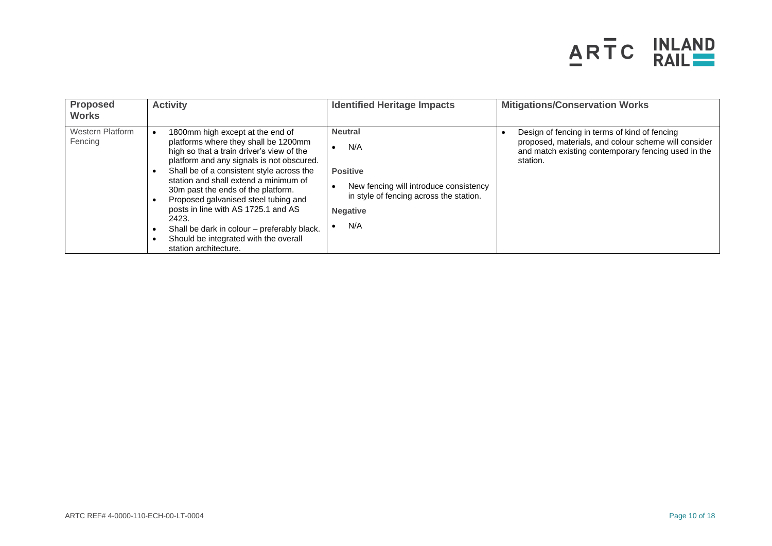

| <b>Proposed</b><br><b>Works</b>    | <b>Activity</b>                                                                                                                                                                                                                                                                                                                                                                                                                                                                                         | <b>Identified Heritage Impacts</b>                                                                                                                      | <b>Mitigations/Conservation Works</b>                                                                                                                                    |
|------------------------------------|---------------------------------------------------------------------------------------------------------------------------------------------------------------------------------------------------------------------------------------------------------------------------------------------------------------------------------------------------------------------------------------------------------------------------------------------------------------------------------------------------------|---------------------------------------------------------------------------------------------------------------------------------------------------------|--------------------------------------------------------------------------------------------------------------------------------------------------------------------------|
| <b>Western Platform</b><br>Fencing | 1800mm high except at the end of<br>platforms where they shall be 1200mm<br>high so that a train driver's view of the<br>platform and any signals is not obscured.<br>Shall be of a consistent style across the<br>station and shall extend a minimum of<br>30m past the ends of the platform.<br>Proposed galvanised steel tubing and<br>posts in line with AS 1725.1 and AS<br>2423.<br>Shall be dark in colour - preferably black.<br>Should be integrated with the overall<br>station architecture. | <b>Neutral</b><br>N/A<br><b>Positive</b><br>New fencing will introduce consistency<br>in style of fencing across the station.<br><b>Negative</b><br>N/A | Design of fencing in terms of kind of fencing<br>proposed, materials, and colour scheme will consider<br>and match existing contemporary fencing used in the<br>station. |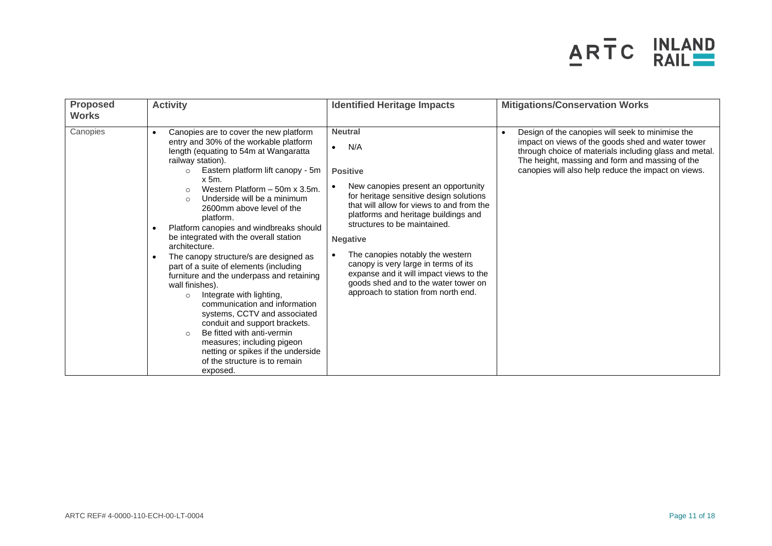

| <b>Proposed</b><br><b>Works</b> | <b>Activity</b>                                                                                                                                                                                                                                                                                                                                                                                                                                                                                                                                                                                                                                                                                                                                                                                                                                                                                                       | <b>Identified Heritage Impacts</b>                                                                                                                                                                                                                                                                                                                                                                                                                                                    | <b>Mitigations/Conservation Works</b>                                                                                                                                                                                                                                     |
|---------------------------------|-----------------------------------------------------------------------------------------------------------------------------------------------------------------------------------------------------------------------------------------------------------------------------------------------------------------------------------------------------------------------------------------------------------------------------------------------------------------------------------------------------------------------------------------------------------------------------------------------------------------------------------------------------------------------------------------------------------------------------------------------------------------------------------------------------------------------------------------------------------------------------------------------------------------------|---------------------------------------------------------------------------------------------------------------------------------------------------------------------------------------------------------------------------------------------------------------------------------------------------------------------------------------------------------------------------------------------------------------------------------------------------------------------------------------|---------------------------------------------------------------------------------------------------------------------------------------------------------------------------------------------------------------------------------------------------------------------------|
| Canopies                        | Canopies are to cover the new platform<br>$\bullet$<br>entry and 30% of the workable platform<br>length (equating to 54m at Wangaratta<br>railway station).<br>Eastern platform lift canopy - 5m<br>$\circ$<br>$x$ 5m.<br>Western Platform - 50m x 3.5m.<br>$\circ$<br>Underside will be a minimum<br>$\Omega$<br>2600mm above level of the<br>platform.<br>Platform canopies and windbreaks should<br>be integrated with the overall station<br>architecture.<br>The canopy structure/s are designed as<br>part of a suite of elements (including<br>furniture and the underpass and retaining<br>wall finishes).<br>Integrate with lighting,<br>$\circ$<br>communication and information<br>systems, CCTV and associated<br>conduit and support brackets.<br>Be fitted with anti-vermin<br>$\circ$<br>measures; including pigeon<br>netting or spikes if the underside<br>of the structure is to remain<br>exposed. | <b>Neutral</b><br>N/A<br>$\bullet$<br><b>Positive</b><br>New canopies present an opportunity<br>for heritage sensitive design solutions<br>that will allow for views to and from the<br>platforms and heritage buildings and<br>structures to be maintained.<br><b>Negative</b><br>The canopies notably the western<br>canopy is very large in terms of its<br>expanse and it will impact views to the<br>goods shed and to the water tower on<br>approach to station from north end. | Design of the canopies will seek to minimise the<br>impact on views of the goods shed and water tower<br>through choice of materials including glass and metal.<br>The height, massing and form and massing of the<br>canopies will also help reduce the impact on views. |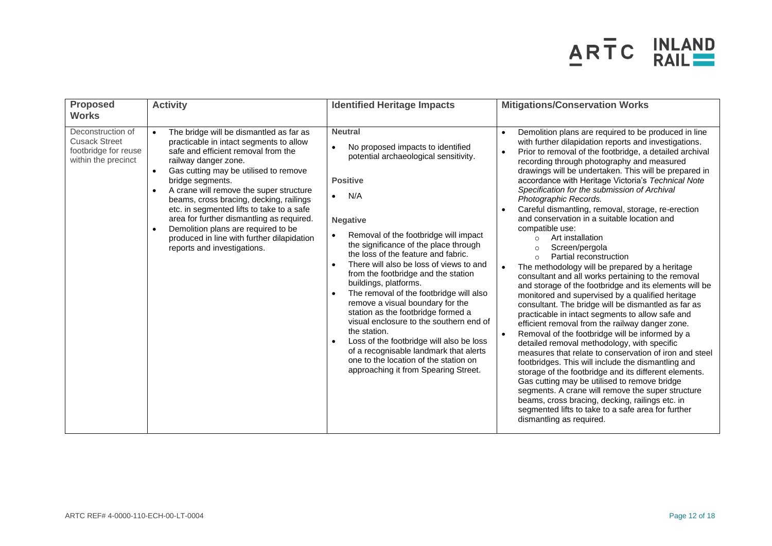

| <b>Proposed</b><br><b>Works</b>                                                          | <b>Activity</b>                                                                                                                                                                                                                                                                                                                                                                                                                                                                                                                 | <b>Identified Heritage Impacts</b>                                                                                                                                                                                                                                                                                                                                                                                                                                                                                                                                                                                                                                                                                                                                          | <b>Mitigations/Conservation Works</b>                                                                                                                                                                                                                                                                                                                                                                                                                                                                                                                                                                                                                                                                                                                                                                                                                                                                                                                                                                                                                                                                                                                                                                                                                                                                                                                                                                                                                                                                                                                                                   |
|------------------------------------------------------------------------------------------|---------------------------------------------------------------------------------------------------------------------------------------------------------------------------------------------------------------------------------------------------------------------------------------------------------------------------------------------------------------------------------------------------------------------------------------------------------------------------------------------------------------------------------|-----------------------------------------------------------------------------------------------------------------------------------------------------------------------------------------------------------------------------------------------------------------------------------------------------------------------------------------------------------------------------------------------------------------------------------------------------------------------------------------------------------------------------------------------------------------------------------------------------------------------------------------------------------------------------------------------------------------------------------------------------------------------------|-----------------------------------------------------------------------------------------------------------------------------------------------------------------------------------------------------------------------------------------------------------------------------------------------------------------------------------------------------------------------------------------------------------------------------------------------------------------------------------------------------------------------------------------------------------------------------------------------------------------------------------------------------------------------------------------------------------------------------------------------------------------------------------------------------------------------------------------------------------------------------------------------------------------------------------------------------------------------------------------------------------------------------------------------------------------------------------------------------------------------------------------------------------------------------------------------------------------------------------------------------------------------------------------------------------------------------------------------------------------------------------------------------------------------------------------------------------------------------------------------------------------------------------------------------------------------------------------|
| Deconstruction of<br><b>Cusack Street</b><br>footbridge for reuse<br>within the precinct | The bridge will be dismantled as far as<br>$\bullet$<br>practicable in intact segments to allow<br>safe and efficient removal from the<br>railway danger zone.<br>Gas cutting may be utilised to remove<br>bridge segments.<br>A crane will remove the super structure<br>beams, cross bracing, decking, railings<br>etc. in segmented lifts to take to a safe<br>area for further dismantling as required.<br>Demolition plans are required to be<br>produced in line with further dilapidation<br>reports and investigations. | <b>Neutral</b><br>No proposed impacts to identified<br>potential archaeological sensitivity.<br><b>Positive</b><br>N/A<br>$\bullet$<br><b>Negative</b><br>Removal of the footbridge will impact<br>the significance of the place through<br>the loss of the feature and fabric.<br>There will also be loss of views to and<br>from the footbridge and the station<br>buildings, platforms.<br>The removal of the footbridge will also<br>$\bullet$<br>remove a visual boundary for the<br>station as the footbridge formed a<br>visual enclosure to the southern end of<br>the station.<br>Loss of the footbridge will also be loss<br>$\bullet$<br>of a recognisable landmark that alerts<br>one to the location of the station on<br>approaching it from Spearing Street. | Demolition plans are required to be produced in line<br>$\bullet$<br>with further dilapidation reports and investigations.<br>Prior to removal of the footbridge, a detailed archival<br>$\bullet$<br>recording through photography and measured<br>drawings will be undertaken. This will be prepared in<br>accordance with Heritage Victoria's Technical Note<br>Specification for the submission of Archival<br>Photographic Records.<br>Careful dismantling, removal, storage, re-erection<br>and conservation in a suitable location and<br>compatible use:<br>Art installation<br>$\circ$<br>Screen/pergola<br>$\circ$<br>Partial reconstruction<br>$\circ$<br>The methodology will be prepared by a heritage<br>consultant and all works pertaining to the removal<br>and storage of the footbridge and its elements will be<br>monitored and supervised by a qualified heritage<br>consultant. The bridge will be dismantled as far as<br>practicable in intact segments to allow safe and<br>efficient removal from the railway danger zone.<br>Removal of the footbridge will be informed by a<br>$\bullet$<br>detailed removal methodology, with specific<br>measures that relate to conservation of iron and steel<br>footbridges. This will include the dismantling and<br>storage of the footbridge and its different elements.<br>Gas cutting may be utilised to remove bridge<br>segments. A crane will remove the super structure<br>beams, cross bracing, decking, railings etc. in<br>segmented lifts to take to a safe area for further<br>dismantling as required. |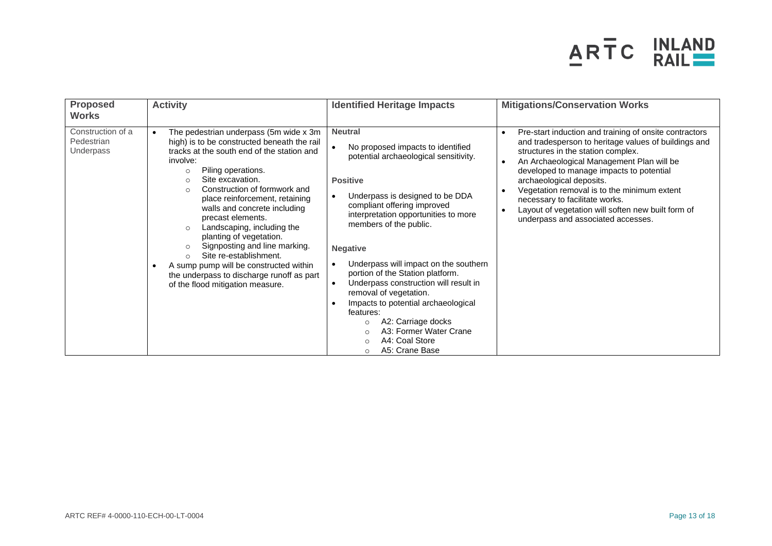

| <b>Proposed</b><br><b>Works</b>              | <b>Activity</b>                                                                                                                                                                                                                                                                                                                                                                                                                                                                                                                                                                                                                     | <b>Identified Heritage Impacts</b>                                                                                                                                                                                                                                                                                                                                                                                                                                                                                                                                                                                                     | <b>Mitigations/Conservation Works</b>                                                                                                                                                                                                                                                                                                                                                                                                                               |
|----------------------------------------------|-------------------------------------------------------------------------------------------------------------------------------------------------------------------------------------------------------------------------------------------------------------------------------------------------------------------------------------------------------------------------------------------------------------------------------------------------------------------------------------------------------------------------------------------------------------------------------------------------------------------------------------|----------------------------------------------------------------------------------------------------------------------------------------------------------------------------------------------------------------------------------------------------------------------------------------------------------------------------------------------------------------------------------------------------------------------------------------------------------------------------------------------------------------------------------------------------------------------------------------------------------------------------------------|---------------------------------------------------------------------------------------------------------------------------------------------------------------------------------------------------------------------------------------------------------------------------------------------------------------------------------------------------------------------------------------------------------------------------------------------------------------------|
| Construction of a<br>Pedestrian<br>Underpass | The pedestrian underpass (5m wide x 3m<br>$\bullet$<br>high) is to be constructed beneath the rail<br>tracks at the south end of the station and<br>involve:<br>Piling operations.<br>$\circ$<br>Site excavation.<br>$\circ$<br>Construction of formwork and<br>$\circ$<br>place reinforcement, retaining<br>walls and concrete including<br>precast elements.<br>Landscaping, including the<br>$\circ$<br>planting of vegetation.<br>Signposting and line marking.<br>Site re-establishment.<br>$\circ$<br>A sump pump will be constructed within<br>the underpass to discharge runoff as part<br>of the flood mitigation measure. | <b>Neutral</b><br>No proposed impacts to identified<br>potential archaeological sensitivity.<br><b>Positive</b><br>Underpass is designed to be DDA<br>$\bullet$<br>compliant offering improved<br>interpretation opportunities to more<br>members of the public.<br><b>Negative</b><br>Underpass will impact on the southern<br>portion of the Station platform.<br>Underpass construction will result in<br>$\bullet$<br>removal of vegetation.<br>Impacts to potential archaeological<br>features:<br>A2: Carriage docks<br>$\circ$<br>A3: Former Water Crane<br>$\bigcap$<br>A4: Coal Store<br>$\circ$<br>A5: Crane Base<br>$\circ$ | Pre-start induction and training of onsite contractors<br>$\bullet$<br>and tradesperson to heritage values of buildings and<br>structures in the station complex.<br>An Archaeological Management Plan will be<br>developed to manage impacts to potential<br>archaeological deposits.<br>Vegetation removal is to the minimum extent<br>necessary to facilitate works.<br>Layout of vegetation will soften new built form of<br>underpass and associated accesses. |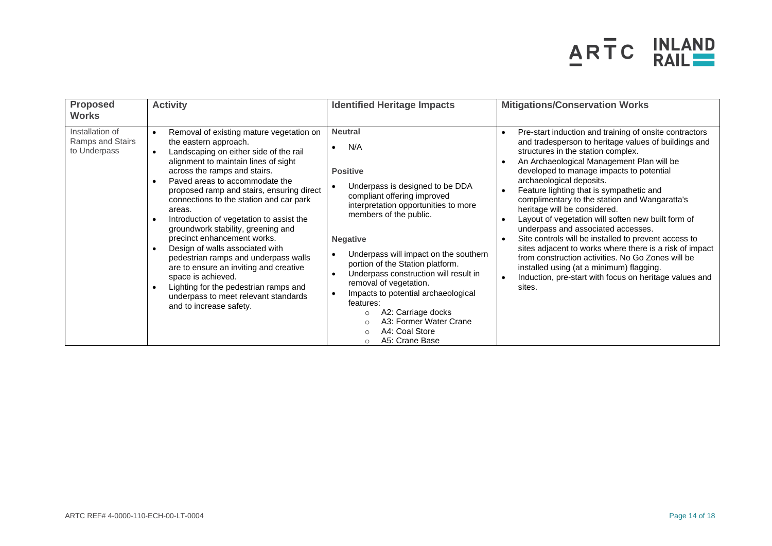

| <b>Proposed</b><br><b>Works</b>                     | <b>Activity</b>                                                                                                                                                                                                                                                                                                                                                                                                                                                                                                                                                                                                                                                                                                                        | <b>Identified Heritage Impacts</b>                                                                                                                                                                                                                                                                                                                                                                                                                                                                                                                      | <b>Mitigations/Conservation Works</b>                                                                                                                                                                                                                                                                                                                                                                                                                                                                                                                                                                                                                                                                                                                                                      |
|-----------------------------------------------------|----------------------------------------------------------------------------------------------------------------------------------------------------------------------------------------------------------------------------------------------------------------------------------------------------------------------------------------------------------------------------------------------------------------------------------------------------------------------------------------------------------------------------------------------------------------------------------------------------------------------------------------------------------------------------------------------------------------------------------------|---------------------------------------------------------------------------------------------------------------------------------------------------------------------------------------------------------------------------------------------------------------------------------------------------------------------------------------------------------------------------------------------------------------------------------------------------------------------------------------------------------------------------------------------------------|--------------------------------------------------------------------------------------------------------------------------------------------------------------------------------------------------------------------------------------------------------------------------------------------------------------------------------------------------------------------------------------------------------------------------------------------------------------------------------------------------------------------------------------------------------------------------------------------------------------------------------------------------------------------------------------------------------------------------------------------------------------------------------------------|
| Installation of<br>Ramps and Stairs<br>to Underpass | Removal of existing mature vegetation on<br>$\bullet$<br>the eastern approach.<br>Landscaping on either side of the rail<br>$\bullet$<br>alignment to maintain lines of sight<br>across the ramps and stairs.<br>Paved areas to accommodate the<br>$\bullet$<br>proposed ramp and stairs, ensuring direct<br>connections to the station and car park<br>areas.<br>Introduction of vegetation to assist the<br>groundwork stability, greening and<br>precinct enhancement works.<br>Design of walls associated with<br>pedestrian ramps and underpass walls<br>are to ensure an inviting and creative<br>space is achieved.<br>Lighting for the pedestrian ramps and<br>underpass to meet relevant standards<br>and to increase safety. | <b>Neutral</b><br>N/A<br>$\bullet$<br><b>Positive</b><br>Underpass is designed to be DDA<br>compliant offering improved<br>interpretation opportunities to more<br>members of the public.<br><b>Negative</b><br>Underpass will impact on the southern<br>portion of the Station platform.<br>Underpass construction will result in<br>$\bullet$<br>removal of vegetation.<br>Impacts to potential archaeological<br>×<br>features:<br>A2: Carriage docks<br>$\circ$<br>A3: Former Water Crane<br>A4: Coal Store<br>$\circ$<br>A5: Crane Base<br>$\circ$ | Pre-start induction and training of onsite contractors<br>and tradesperson to heritage values of buildings and<br>structures in the station complex.<br>An Archaeological Management Plan will be<br>developed to manage impacts to potential<br>archaeological deposits.<br>Feature lighting that is sympathetic and<br>complimentary to the station and Wangaratta's<br>heritage will be considered.<br>Layout of vegetation will soften new built form of<br>underpass and associated accesses.<br>Site controls will be installed to prevent access to<br>sites adjacent to works where there is a risk of impact<br>from construction activities. No Go Zones will be<br>installed using (at a minimum) flagging.<br>Induction, pre-start with focus on heritage values and<br>sites. |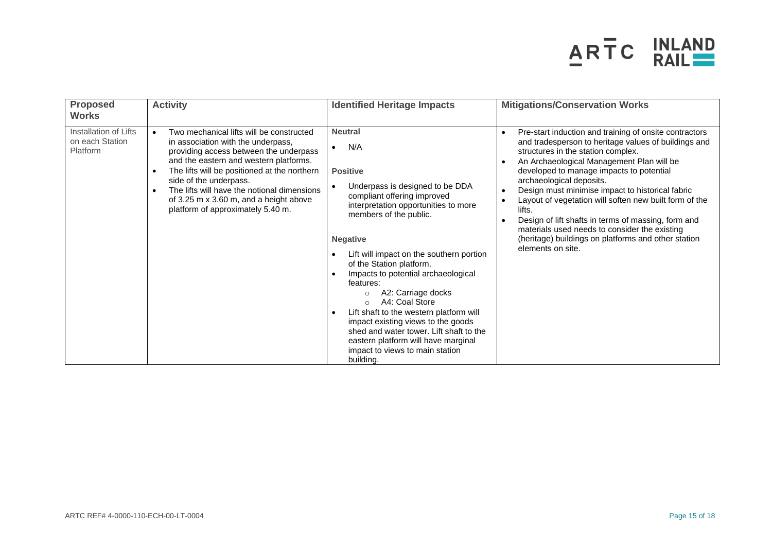

| <b>Proposed</b><br><b>Works</b>                      | <b>Activity</b>                                                                                                                                                                                                                                                                                                                                                                                                   | <b>Identified Heritage Impacts</b>                                                                                                                                                                                                                                                                                                                                                                                                                                                                                                                                                                             | <b>Mitigations/Conservation Works</b>                                                                                                                                                                                                                                                                                                                                                                                                                                                                                                                                                 |
|------------------------------------------------------|-------------------------------------------------------------------------------------------------------------------------------------------------------------------------------------------------------------------------------------------------------------------------------------------------------------------------------------------------------------------------------------------------------------------|----------------------------------------------------------------------------------------------------------------------------------------------------------------------------------------------------------------------------------------------------------------------------------------------------------------------------------------------------------------------------------------------------------------------------------------------------------------------------------------------------------------------------------------------------------------------------------------------------------------|---------------------------------------------------------------------------------------------------------------------------------------------------------------------------------------------------------------------------------------------------------------------------------------------------------------------------------------------------------------------------------------------------------------------------------------------------------------------------------------------------------------------------------------------------------------------------------------|
| Installation of Lifts<br>on each Station<br>Platform | Two mechanical lifts will be constructed<br>$\bullet$<br>in association with the underpass,<br>providing access between the underpass<br>and the eastern and western platforms.<br>The lifts will be positioned at the northern<br>$\bullet$<br>side of the underpass.<br>The lifts will have the notional dimensions<br>$\bullet$<br>of 3.25 m x 3.60 m, and a height above<br>platform of approximately 5.40 m. | <b>Neutral</b><br>N/A<br><b>Positive</b><br>Underpass is designed to be DDA<br>compliant offering improved<br>interpretation opportunities to more<br>members of the public.<br><b>Negative</b><br>Lift will impact on the southern portion<br>of the Station platform.<br>Impacts to potential archaeological<br>features:<br>A2: Carriage docks<br>$\circ$<br>A4: Coal Store<br>$\bigcap$<br>Lift shaft to the western platform will<br>impact existing views to the goods<br>shed and water tower. Lift shaft to the<br>eastern platform will have marginal<br>impact to views to main station<br>building. | Pre-start induction and training of onsite contractors<br>and tradesperson to heritage values of buildings and<br>structures in the station complex.<br>An Archaeological Management Plan will be<br>developed to manage impacts to potential<br>archaeological deposits.<br>Design must minimise impact to historical fabric<br>Layout of vegetation will soften new built form of the<br>lifts.<br>Design of lift shafts in terms of massing, form and<br>materials used needs to consider the existing<br>(heritage) buildings on platforms and other station<br>elements on site. |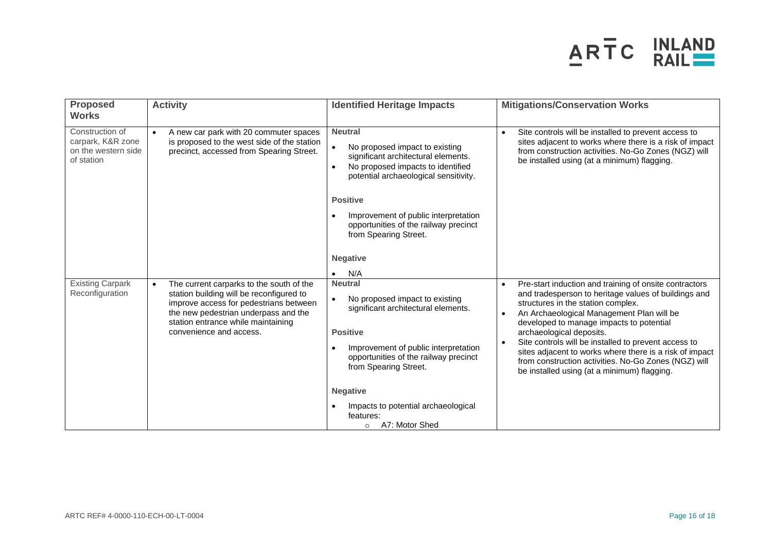

| <b>Proposed</b><br><b>Works</b>                                           | <b>Activity</b>                                                                                                                                                                                                                                      | <b>Identified Heritage Impacts</b>                                                                                                                                                                                                                                                                                                           | <b>Mitigations/Conservation Works</b>                                                                                                                                                                                                                                                                                                                                                                                                                                                                                                      |
|---------------------------------------------------------------------------|------------------------------------------------------------------------------------------------------------------------------------------------------------------------------------------------------------------------------------------------------|----------------------------------------------------------------------------------------------------------------------------------------------------------------------------------------------------------------------------------------------------------------------------------------------------------------------------------------------|--------------------------------------------------------------------------------------------------------------------------------------------------------------------------------------------------------------------------------------------------------------------------------------------------------------------------------------------------------------------------------------------------------------------------------------------------------------------------------------------------------------------------------------------|
| Construction of<br>carpark, K&R zone<br>on the western side<br>of station | A new car park with 20 commuter spaces<br>$\bullet$<br>is proposed to the west side of the station<br>precinct, accessed from Spearing Street.                                                                                                       | <b>Neutral</b><br>No proposed impact to existing<br>significant architectural elements.<br>No proposed impacts to identified<br>$\bullet$<br>potential archaeological sensitivity.<br><b>Positive</b><br>Improvement of public interpretation<br>opportunities of the railway precinct<br>from Spearing Street.<br><b>Negative</b>           | Site controls will be installed to prevent access to<br>$\bullet$<br>sites adjacent to works where there is a risk of impact<br>from construction activities. No-Go Zones (NGZ) will<br>be installed using (at a minimum) flagging.                                                                                                                                                                                                                                                                                                        |
| <b>Existing Carpark</b><br>Reconfiguration                                | The current carparks to the south of the<br>$\bullet$<br>station building will be reconfigured to<br>improve access for pedestrians between<br>the new pedestrian underpass and the<br>station entrance while maintaining<br>convenience and access. | N/A<br><b>Neutral</b><br>No proposed impact to existing<br>$\bullet$<br>significant architectural elements.<br><b>Positive</b><br>Improvement of public interpretation<br>opportunities of the railway precinct<br>from Spearing Street.<br><b>Negative</b><br>Impacts to potential archaeological<br>features:<br>A7: Motor Shed<br>$\circ$ | Pre-start induction and training of onsite contractors<br>$\bullet$<br>and tradesperson to heritage values of buildings and<br>structures in the station complex.<br>An Archaeological Management Plan will be<br>$\bullet$<br>developed to manage impacts to potential<br>archaeological deposits.<br>Site controls will be installed to prevent access to<br>$\bullet$<br>sites adjacent to works where there is a risk of impact<br>from construction activities. No-Go Zones (NGZ) will<br>be installed using (at a minimum) flagging. |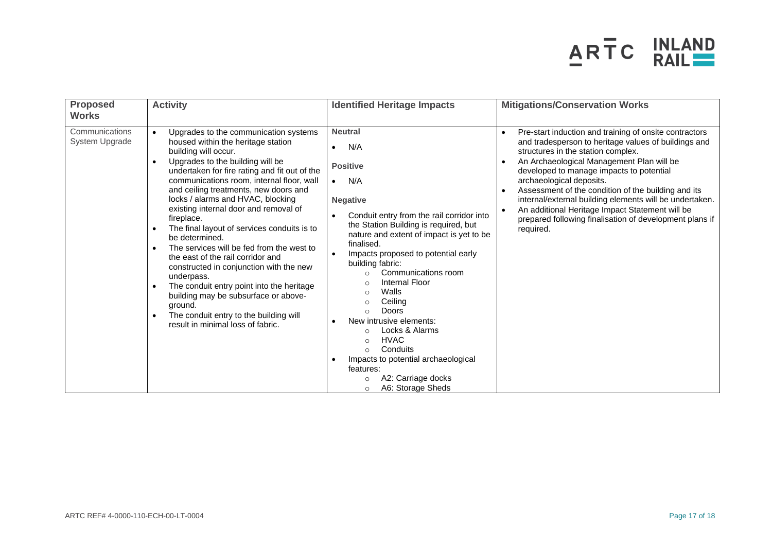

| <b>Proposed</b><br><b>Works</b>  | <b>Activity</b>                                                                                                                                                                                                                                                                                                                                                                                                                                                                                                                                                                                                                                                                                                                                                                    | <b>Identified Heritage Impacts</b>                                                                                                                                                                                                                                                                                                                                                                                                                                                                                                                                                                                                                                                 | <b>Mitigations/Conservation Works</b>                                                                                                                                                                                                                                                                                                                                                                                                                                                                                               |
|----------------------------------|------------------------------------------------------------------------------------------------------------------------------------------------------------------------------------------------------------------------------------------------------------------------------------------------------------------------------------------------------------------------------------------------------------------------------------------------------------------------------------------------------------------------------------------------------------------------------------------------------------------------------------------------------------------------------------------------------------------------------------------------------------------------------------|------------------------------------------------------------------------------------------------------------------------------------------------------------------------------------------------------------------------------------------------------------------------------------------------------------------------------------------------------------------------------------------------------------------------------------------------------------------------------------------------------------------------------------------------------------------------------------------------------------------------------------------------------------------------------------|-------------------------------------------------------------------------------------------------------------------------------------------------------------------------------------------------------------------------------------------------------------------------------------------------------------------------------------------------------------------------------------------------------------------------------------------------------------------------------------------------------------------------------------|
| Communications<br>System Upgrade | Upgrades to the communication systems<br>$\bullet$<br>housed within the heritage station<br>building will occur.<br>Upgrades to the building will be<br>undertaken for fire rating and fit out of the<br>communications room, internal floor, wall<br>and ceiling treatments, new doors and<br>locks / alarms and HVAC, blocking<br>existing internal door and removal of<br>fireplace.<br>The final layout of services conduits is to<br>be determined.<br>The services will be fed from the west to<br>the east of the rail corridor and<br>constructed in conjunction with the new<br>underpass.<br>The conduit entry point into the heritage<br>building may be subsurface or above-<br>ground.<br>The conduit entry to the building will<br>result in minimal loss of fabric. | <b>Neutral</b><br>N/A<br>$\bullet$<br><b>Positive</b><br>N/A<br>$\bullet$<br><b>Negative</b><br>Conduit entry from the rail corridor into<br>the Station Building is required, but<br>nature and extent of impact is yet to be<br>finalised.<br>Impacts proposed to potential early<br>$\bullet$<br>building fabric:<br>Communications room<br>$\circ$<br>Internal Floor<br>$\circ$<br>Walls<br>$\circ$<br>Ceiling<br>$\circ$<br>Doors<br>$\circ$<br>New intrusive elements:<br>Locks & Alarms<br>$\circ$<br><b>HVAC</b><br>$\Omega$<br>Conduits<br>$\bigcap$<br>Impacts to potential archaeological<br>features:<br>A2: Carriage docks<br>$\circ$<br>A6: Storage Sheds<br>$\circ$ | Pre-start induction and training of onsite contractors<br>$\bullet$<br>and tradesperson to heritage values of buildings and<br>structures in the station complex.<br>An Archaeological Management Plan will be<br>developed to manage impacts to potential<br>archaeological deposits.<br>Assessment of the condition of the building and its<br>internal/external building elements will be undertaken.<br>An additional Heritage Impact Statement will be<br>prepared following finalisation of development plans if<br>required. |